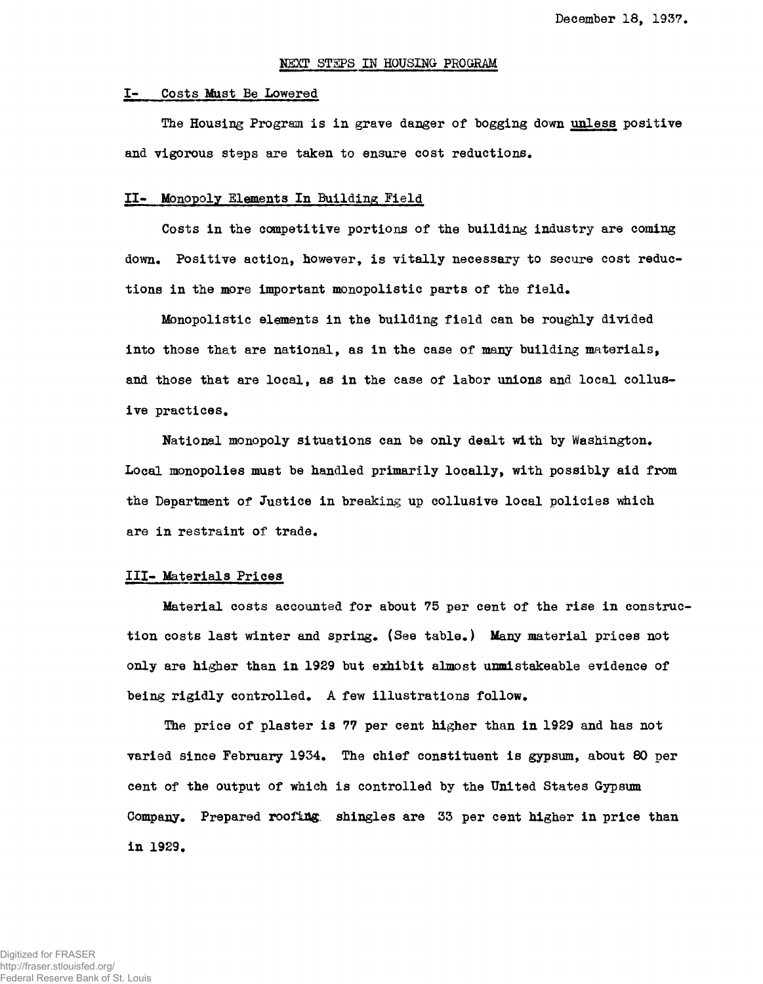### NEXT STEPS IN HOUSING PROGRAM

#### I- Costs Mast Be Lowered

The Housing Program is in grave danger of bogging down unless positive and vigorous steps are taken to ensure cost reductions.

### II- Monopoly Elements In Building Field

Costs in the competitive portions of the building industry are coming down. Positive action, however, is vitally necessary to secure cost reductions in the more important monopolistic parts of the field.

Monopolistic elements in the building field can be roughly divided into those that are national, as in the case of many building materials, and those that are local, as in the case of labor unions and local collusive practices.

National monopoly situations can be only dealt with by Washington. Local monopolies must be handled primarily locally, with possibly aid from the Department of Justice in breaking up collusive local policies which are in restraint of trade.

#### III- Materials Prices

Material costs accounted for about 75 per cent of the rise in construction costs last winter and spring. (See table.) Many material prices not only are higher than in 1929 but exhibit almost unmistakeable evidence of being rigidly controlled. A few illustrations follow.

The price of plaster is 77 per cent higher than in 1929 and has not varied since February 1934. The chief constituent is gypsum, about 80 per cent of the output of which is controlled by the United States Gypsum Company. Prepared roofing, shingles are 33 per cent higher in price than in 1929.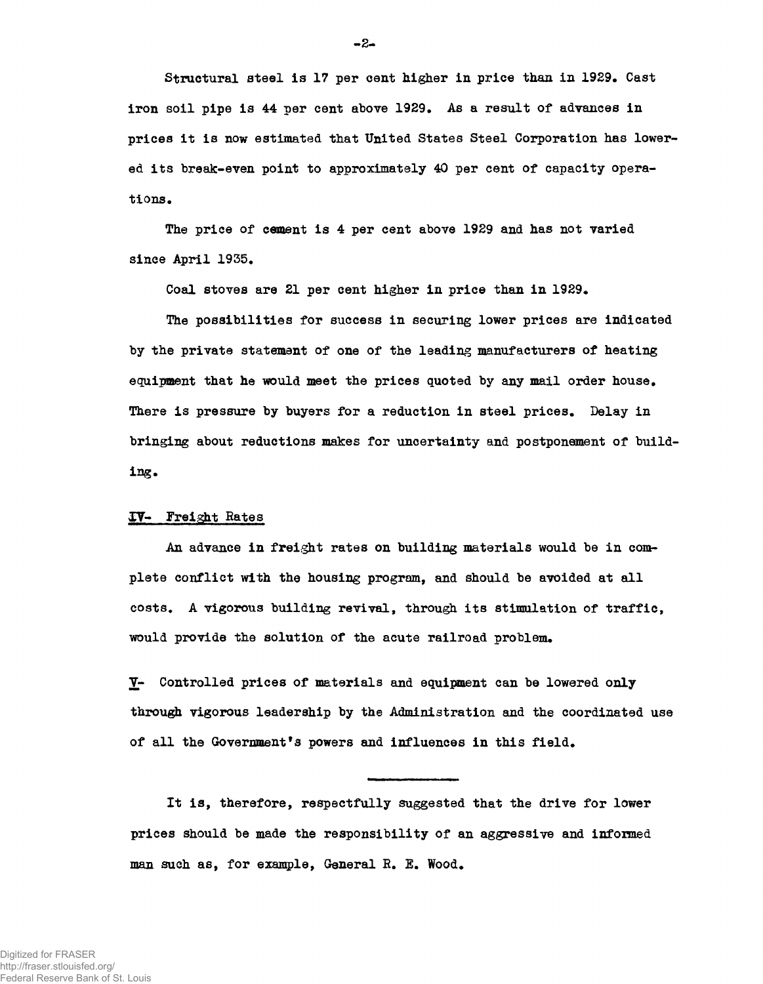Structural steel is 17 per cent higher in price than in 1929. Cast iron soil pipe is 44 per cent above 1929. As a result of advances in prices it is now estimated that United States Steel Corporation has lowered its break-even point to approximately 40 per cent of capacity operations.

The price of cement is 4 per cent above 1929 and has not varied since April 1955.

Coal stoves are 21 per cent higher in price than in 1929.

The possibilities for success in securing lower prices are indicated by the private statement of one of the leading manufacturers of heating equipment that he would meet the prices quoted by any mail order house. There is pressure by buyers for a reduction in steel prices. Delay in bringing about reductions makes for uncertainty and postponement of building.

#### IT- Freight Rates

An advance in freight rates on building materials would be in complete conflict with the housing program, and should be avoided at all costs. A vigorous building revival, through its stimulation of traffic, would provide the solution of the acute railroad problem.

Y- Controlled prices of materials and equipment can be lowered only through vigorous leadership by the Administration and the coordinated use of all the Government's powers and influences in this field.

It is, therefore, respectfully suggested that the drive for lower prices should be made the responsibility of an aggressive and informed man such as, for example, General K. E. Wood.

-2-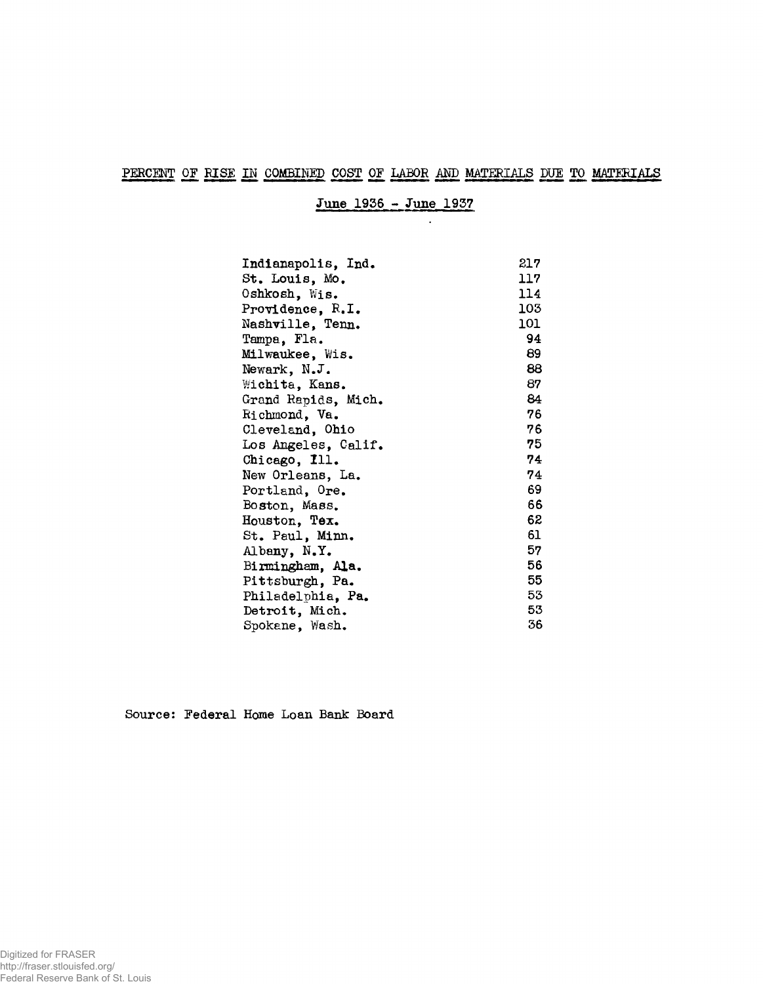# PERCENT OF RISE IN COMBINED COST OF LABOR AND MATERIALS DUE TO MATERIALS

June 1936 - June 1937

 $\sim 10^7$ 

| Indianapolis, Ind.  | 217  |
|---------------------|------|
| St. Louis, Mo.      | 117. |
| Oshkosh, Wis.       | 114  |
| Providence, R.I.    | 103  |
| Nashville, Tenn.    | 101  |
| Tampa, Fla.         | 94   |
| Milwaukee, Wis.     | 89   |
| Newark, N.J.        | 88   |
| Wichita, Kans.      | 87   |
| Grand Rapids, Mich. | 84   |
| Richmond, Va.       | 76   |
| Cleveland, Ohio     | 76   |
| Los Angeles, Calif. | 75.  |
| Chicago, Ill.       | 74   |
| New Orleans, La.    | 74   |
| Portland, Ore.      | 69   |
| Boston, Mass.       | 66   |
| Houston, Tex.       | 62   |
| St. Paul, Minn.     | 61   |
| Albany, N.Y.        | 57   |
| Birmingham, Ala.    | 56   |
| Pittsburgh, Pa.     | 55   |
| Philadelphia, Pa.   | 53   |
| Detroit, Mich.      | 53   |
| Spokane, Wash.      | 36   |

Source: Federal Home Loan Bank Board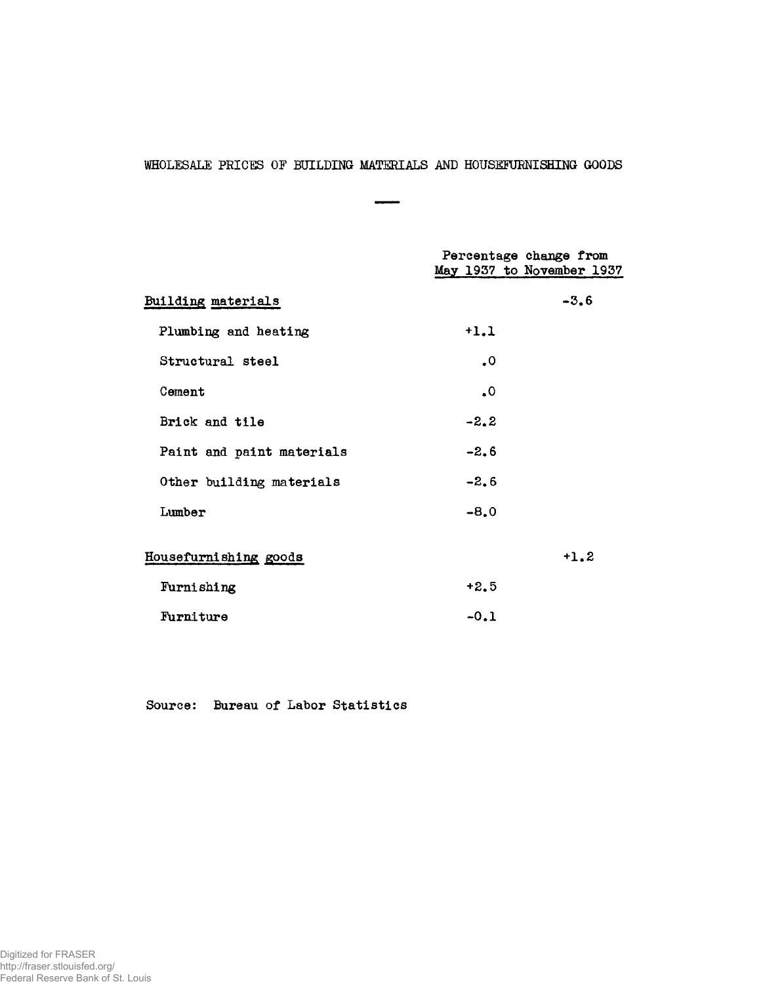# WHOLESALE PRICES OF BUILDING MATERIALS AND HOUSEFURNISHING GOODS

 $\overline{\phantom{0}}$ ÷

|                           |                 | Percentage change from<br>May 1937 to November 1937 |
|---------------------------|-----------------|-----------------------------------------------------|
| Building materials        |                 | $-3.6$                                              |
| Plumbing and heating      | $+1.1$          |                                                     |
| Structural steel          | $\cdot^{\circ}$ |                                                     |
| Cement                    | ٥.              |                                                     |
| Brick and tile            | $-2.2$          |                                                     |
| Paint and paint materials | $-2.6$          |                                                     |
| Other building materials  | $-2.6$          |                                                     |
| Lumber                    | $-8.0$          |                                                     |
| Housefurnishing goods     |                 | $+1.2$                                              |
| Furnishing                | $+2.5$          |                                                     |
| Furniture                 | $-0.1$          |                                                     |

Source: Bureau of Labor Statistics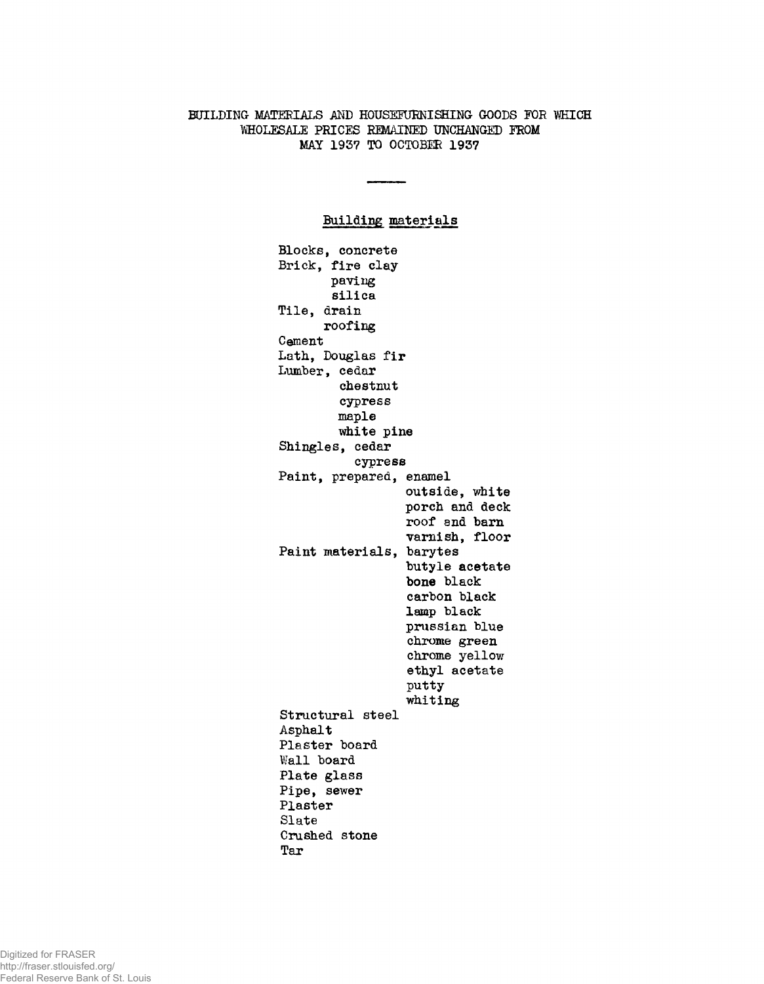# BUILDING MATERIALS AND HOUSEFURNISHING GOODS FOR WHICH WHOLESALE PRICES REMAINED UNCHANGED FROM MAY 1937 TO OCTOBER 1937

# Building materials

Blocks, concrete Brick, fire clay paving silica Tile, drain roofing Cement Lath, Douglas fir Lumber, cedar chestnut cypress maple white pine Shingles, cedar cypress Paint, prepared, enamel outside, white porch and deck roof and barn varnish, floor Paint materials, barytes butyle acetate **bone** black carbon black lamp black Prussian blue chrome green chrome yellow ethyl acetate putty whiting Structural steel Asphalt Plaster board Wall board Plate glass Pipe, sewer Plaster Slate Crushed stone Tar